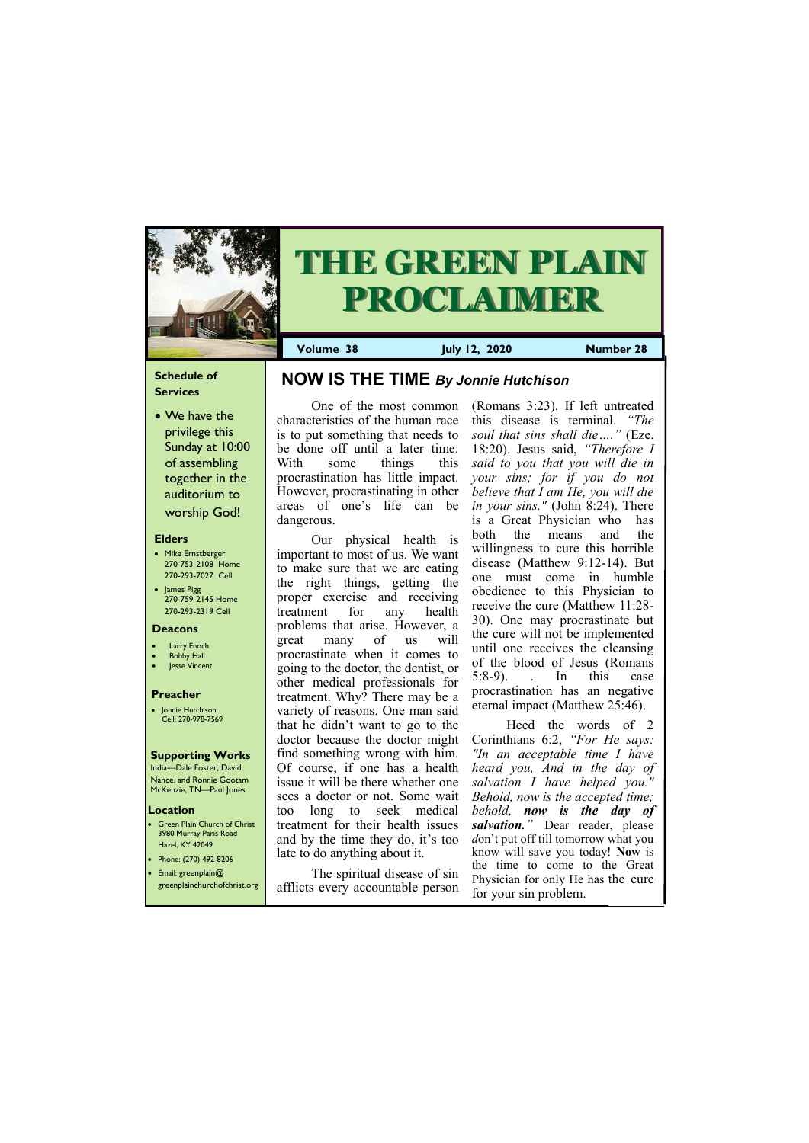## **Schedule of Services**

• We have the privilege this Sunday at 10:00 of assembling together in the auditorium to worship God!

#### **Elders**

Green Plain Church of Christ 3980 Murray Paris Road Hazel, KY 42049 • Phone: (270) 492-8206

- Mike Ernstberger 270-753-2108 Home 270-293-7027 Cell
- James Pigg 270-759-2145 Home 270-293-2319 Cell

#### **Location**

India—Dale Foster, David Nance. and Ronnie Gootam McKenzie, TN—Paul Jones



# **THE GREEN PLAIN PROCLAIMER**

**Volume 38 July 12, 2020 Number 28**

#### **Deacons**

- **Larry Enoch**
- **Bobby Hall**
- **Jesse Vincent**

#### **Preacher**

• Jonnie Hutchison Cell: 270-978-7569

#### **Supporting Works**

One of the most common characteristics of the human race is to put something that needs to be done off until a later time. With some things this procrastination has little impact. However, procrastinating in other areas of one's life can be dangerous.

Our physical health is important to most of us. We want to make sure that we are eating the right things, getting the proper exercise and receiving treatment for any health problems that arise. However, a great many of us will procrastinate when it comes to going to the doctor, the dentist, or other medical professionals for treatment. Why? There may be a variety of reasons. One man said that he didn't want to go to the doctor because the doctor might find something wrong with him. Of course, if one has a health issue it will be there whether one sees a doctor or not. Some wait too long to seek medical treatment for their health issues and by the time they do, it's too late to do anything about it.

| $\bullet$ [Filolie, (270) 172-0200 |                                   | the time to come to the Great      |
|------------------------------------|-----------------------------------|------------------------------------|
| • Email: greenplain $@$            | The spiritual disease of sin      | Physician for only He has the cure |
| greenplainchurchofchrist.org       | afflicts every accountable person | for your sin problem.              |

(Romans 3:23). If left untreated this disease is terminal. *"The soul that sins shall die…."* (Eze. 18:20). Jesus said, *"Therefore I said to you that you will die in your sins; for if you do not believe that I am He, you will die in your sins."* (John 8:24). There is a Great Physician who has both the means and the willingness to cure this horrible disease (Matthew 9:12-14). But one must come in humble obedience to this Physician to receive the cure (Matthew 11:28- 30). One may procrastinate but the cure will not be implemented until one receives the cleansing of the blood of Jesus (Romans 5:8-9). . In this case procrastination has an negative eternal impact (Matthew 25:46).

Heed the words of 2 Corinthians 6:2, *"For He says: "In an acceptable time I have heard you, And in the day of salvation I have helped you." Behold, now is the accepted time; behold, now is the day of salvation."* Dear reader, please *d*on't put off till tomorrow what you know will save you today! **Now** is

# **NOW IS THE TIME** *By Jonnie Hutchison*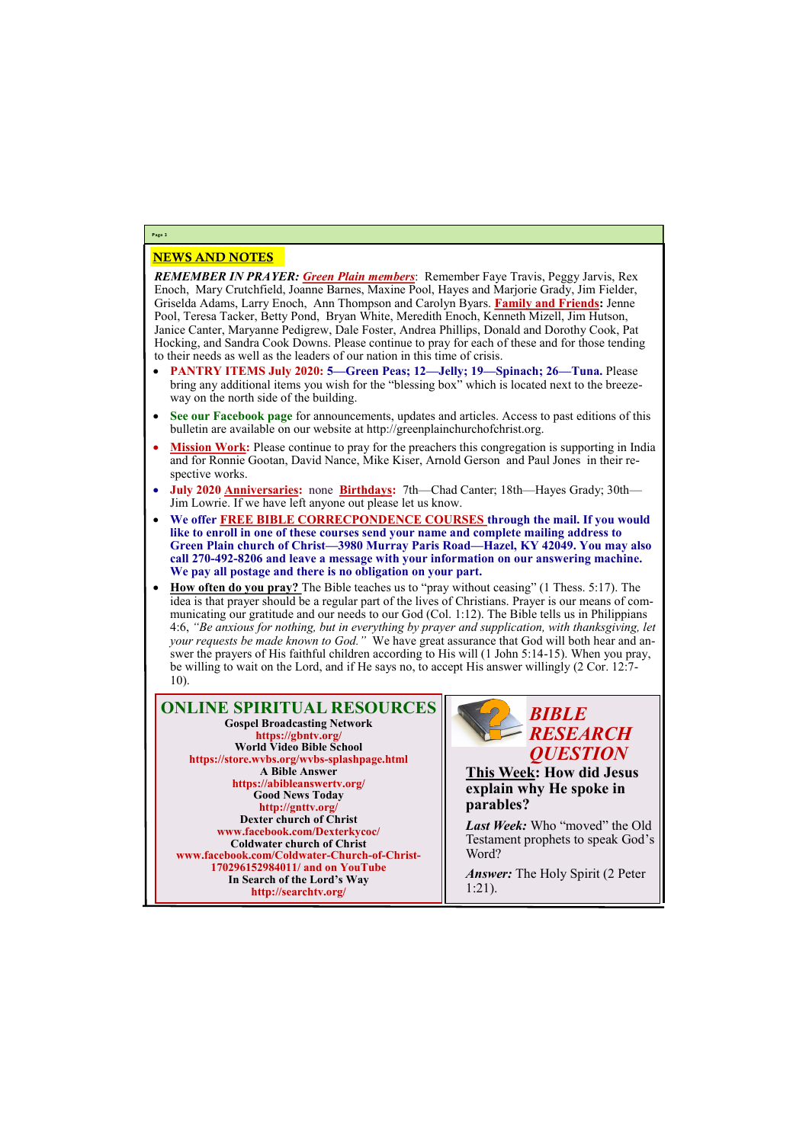## NEWS AND NOTES

*REMEMBER IN PRAYER: Green Plain members*: Remember Faye Travis, Peggy Jarvis, Rex Enoch, Mary Crutchfield, Joanne Barnes, Maxine Pool, Hayes and Marjorie Grady, Jim Fielder, Griselda Adams, Larry Enoch, Ann Thompson and Carolyn Byars. **Family and Friends:** Jenne Pool, Teresa Tacker, Betty Pond, Bryan White, Meredith Enoch, Kenneth Mizell, Jim Hutson, Janice Canter, Maryanne Pedigrew, Dale Foster, Andrea Phillips, Donald and Dorothy Cook, Pat Hocking, and Sandra Cook Downs. Please continue to pray for each of these and for those tending to their needs as well as the leaders of our nation in this time of crisis.

> Last Week: Who "moved" the Old Testament prophets to speak God's Word?

- **PANTRY ITEMS July 2020: 5—Green Peas; 12—Jelly; 19—Spinach; 26—Tuna.** Please bring any additional items you wish for the "blessing box" which is located next to the breezeway on the north side of the building.
- **See our Facebook page** for announcements, updates and articles. Access to past editions of this bulletin are available on our website at http://greenplainchurchofchrist.org.
- **Mission Work:** Please continue to pray for the preachers this congregation is supporting in India and for Ronnie Gootan, David Nance, Mike Kiser, Arnold Gerson and Paul Jones in their respective works.
- **July 2020 Anniversaries:** none **Birthdays:** 7th—Chad Canter; 18th—Hayes Grady; 30th— Jim Lowrie. If we have left anyone out please let us know.
- **We offer FREE BIBLE CORRECPONDENCE COURSES through the mail. If you would like to enroll in one of these courses send your name and complete mailing address to Green Plain church of Christ—3980 Murray Paris Road—Hazel, KY 42049. You may also call 270-492-8206 and leave a message with your information on our answering machine. We pay all postage and there is no obligation on your part.**
- **How often do you pray?** The Bible teaches us to "pray without ceasing" (1 Thess. 5:17). The idea is that prayer should be a regular part of the lives of Christians. Prayer is our means of communicating our gratitude and our needs to our God (Col. 1:12). The Bible tells us in Philippians 4:6, *"Be anxious for nothing, but in everything by prayer and supplication, with thanksgiving, let your requests be made known to God."* We have great assurance that God will both hear and answer the prayers of His faithful children according to His will (1 John 5:14-15). When you pray, be willing to wait on the Lord, and if He says no, to accept His answer willingly (2 Cor. 12:7- 10).

# **Page 2**

**ONLINE SPIRITUAL RESOURCES Gospel Broadcasting Network https://gbntv.org/ World Video Bible School https://store.wvbs.org/wvbs-splashpage.html A Bible Answer https://abibleanswertv.org/ Good News Today http://gnttv.org/ Dexter church of Christ www.facebook.com/Dexterkycoc/ Coldwater church of Christ www.facebook.com/Coldwater-Church-of-Christ-**

> **170296152984011/ and on YouTube In Search of the Lord's Way http://searchtv.org/**



**This Week: How did Jesus explain why He spoke in parables?**

*Answer:* The Holy Spirit (2 Peter 1:21).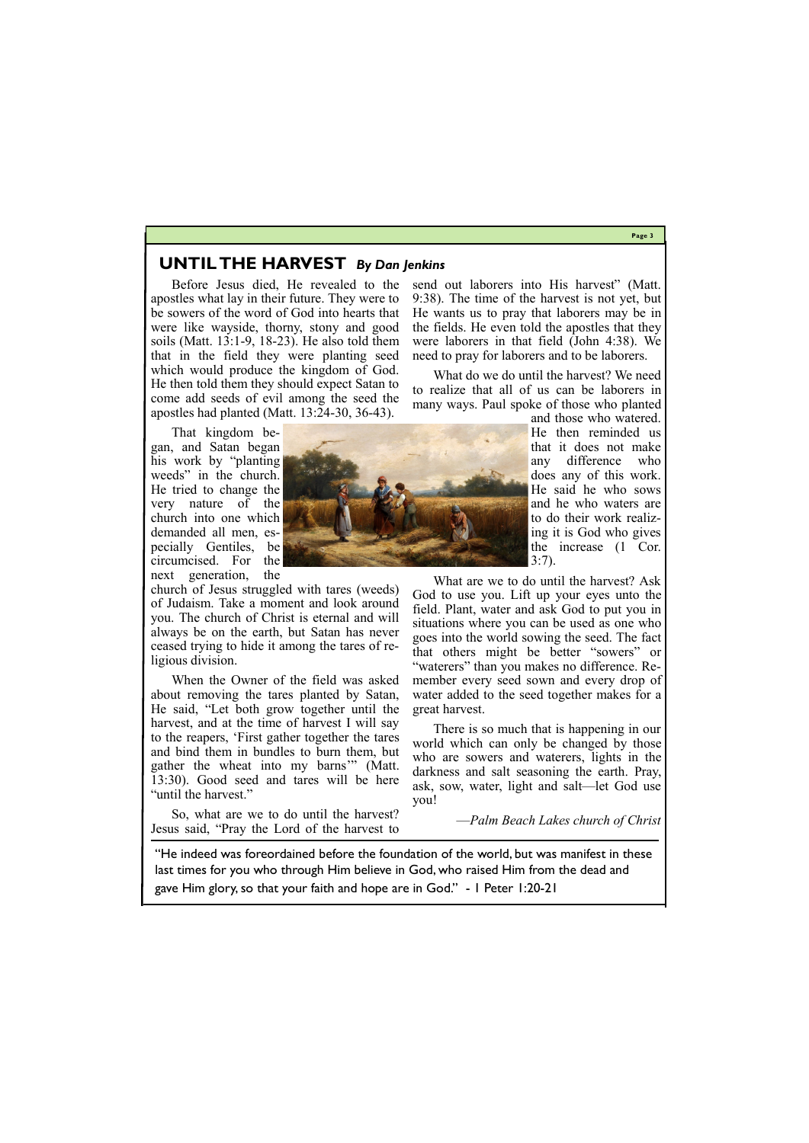## **Page 3**

# **UNTIL THE HARVEST** *By Dan Jenkins*

Before Jesus died, He revealed to the apostles what lay in their future. They were to be sowers of the word of God into hearts that were like wayside, thorny, stony and good soils (Matt. 13:1-9, 18-23). He also told them that in the field they were planting seed which would produce the kingdom of God. He then told them they should expect Satan to come add seeds of evil among the seed the apostles had planted (Matt. 13:24-30, 36-43).

That kingdom began, and Satan began his work by "planting weeds" in the church. He tried to change the very nature of the church into one which demanded all men, especially Gentiles, be circumcised. For the

next generation, the church of Jesus struggled with tares (weeds) of Judaism. Take a moment and look around you. The church of Christ is eternal and will always be on the earth, but Satan has never ceased trying to hide it among the tares of religious division.

send out laborers into His harvest" (Matt. 9:38). The time of the harvest is not yet, but He wants us to pray that laborers may be in the fields. He even told the apostles that they were laborers in that field (John 4:38). We need to pray for laborers and to be laborers.

When the Owner of the field was asked about removing the tares planted by Satan, He said, "Let both grow together until the harvest, and at the time of harvest I will say to the reapers, 'First gather together the tares and bind them in bundles to burn them, but gather the wheat into my barns'" (Matt. 13:30). Good seed and tares will be here "until the harvest."

So, what are we to do until the harvest? Jesus said, "Pray the Lord of the harvest to

What do we do until the harvest? We need to realize that all of us can be laborers in many ways. Paul spoke of those who planted

and those who watered. He then reminded us that it does not make any difference who does any of this work. He said he who sows and he who waters are to do their work realizing it is God who gives the increase (1 Cor. 3:7).

What are we to do until the harvest? Ask God to use you. Lift up your eyes unto the field. Plant, water and ask God to put you in situations where you can be used as one who goes into the world sowing the seed. The fact that others might be better "sowers" or "waterers" than you makes no difference. Remember every seed sown and every drop of water added to the seed together makes for a great harvest.

There is so much that is happening in our world which can only be changed by those who are sowers and waterers, lights in the darkness and salt seasoning the earth. Pray, ask, sow, water, light and salt—let God use you!

—*Palm Beach Lakes church of Christ*

"He indeed was foreordained before the foundation of the world, but was manifest in these

last times for you who through Him believe in God, who raised Him from the dead and gave Him glory, so that your faith and hope are in God." - 1 Peter 1:20-21